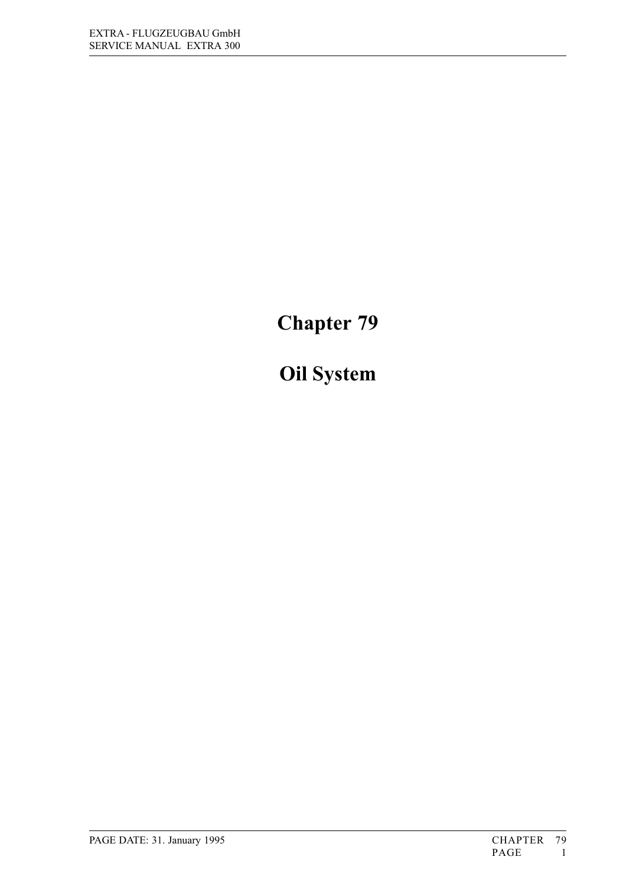# Chapter 79

# Oil System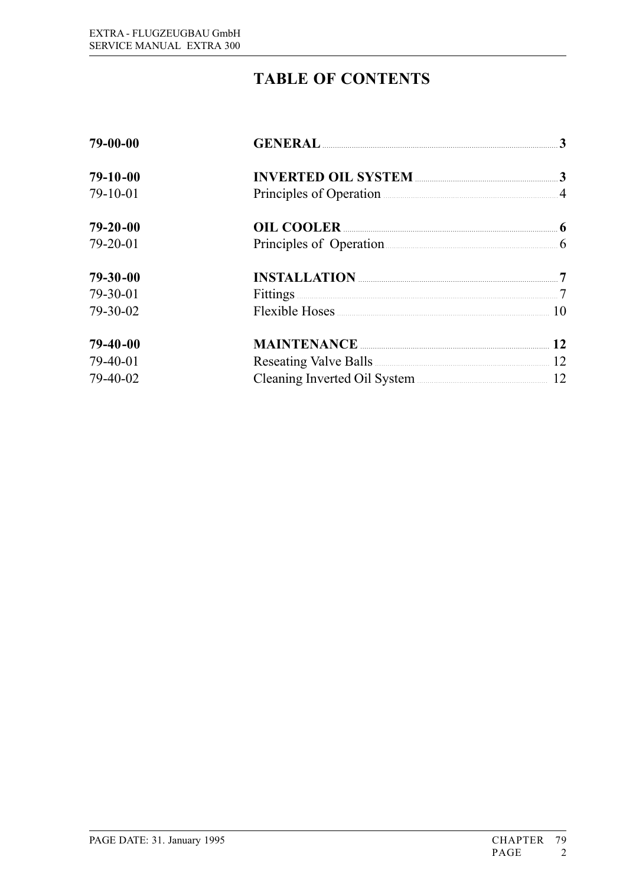# **TABLE OF CONTENTS**

| 79-00-00       |                                 |  |
|----------------|---------------------------------|--|
| $79-10-00$     | <b>INVERTED OIL SYSTEM</b> 23   |  |
| 79-10-01       | Principles of Operation 4       |  |
| $79 - 20 - 00$ | OIL COOLER 6                    |  |
| 79-20-01       | Principles of Operation 6       |  |
| $79 - 30 - 00$ |                                 |  |
| 79-30-01       | Fittings 22.2 Tittings 2016     |  |
| 79-30-02       | Flexible Hoses 10               |  |
| $79-40-00$     | <b>MAINTENANCE</b> 22           |  |
| 79-40-01       | Reseating Valve Balls 22 22     |  |
| 79-40-02       | Cleaning Inverted Oil System 22 |  |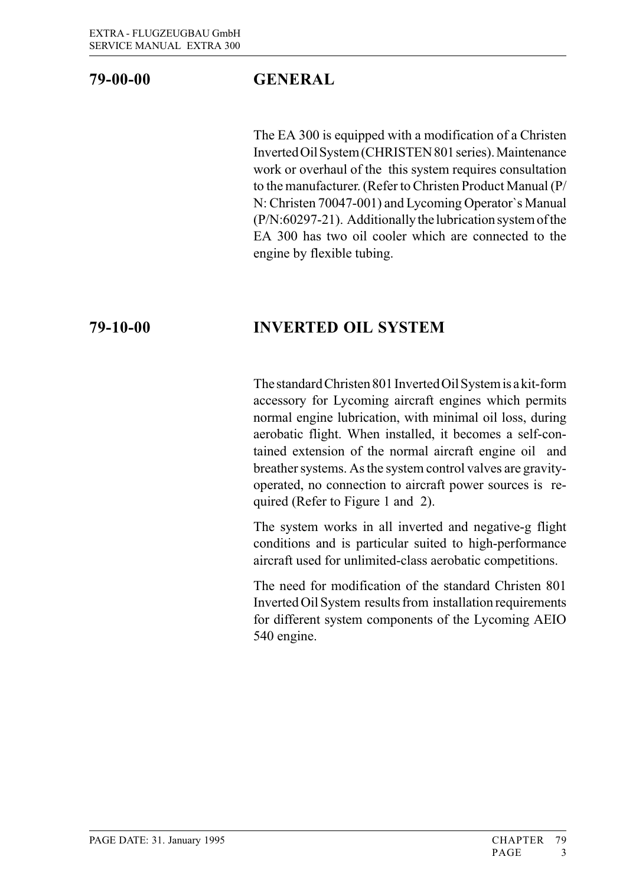## 79-00-00 GENERAL

The EA 300 is equipped with a modification of a Christen Inverted Oil System (CHRISTEN 801 series). Maintenance work or overhaul of the this system requires consultation to the manufacturer. (Refer to Christen Product Manual (P/ N: Christen 70047-001) and Lycoming Operator`s Manual (P/N:60297-21). Additionally the lubrication system of the EA 300 has two oil cooler which are connected to the engine by flexible tubing.

## 79-10-00 INVERTED OIL SYSTEM

The standard Christen 801 Inverted Oil System is a kit-form accessory for Lycoming aircraft engines which permits normal engine lubrication, with minimal oil loss, during aerobatic flight. When installed, it becomes a self-contained extension of the normal aircraft engine oil and breather systems. As the system control valves are gravityoperated, no connection to aircraft power sources is required (Refer to Figure 1 and 2).

The system works in all inverted and negative-g flight conditions and is particular suited to high-performance aircraft used for unlimited-class aerobatic competitions.

The need for modification of the standard Christen 801 Inverted Oil System results from installation requirements for different system components of the Lycoming AEIO 540 engine.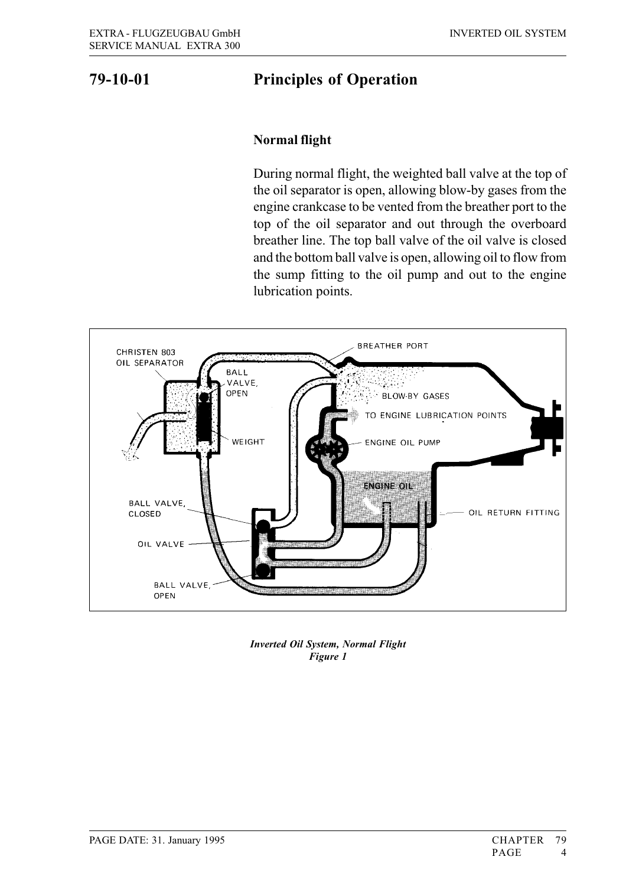### 79-10-01 Principles of Operation

#### Normal flight

During normal flight, the weighted ball valve at the top of the oil separator is open, allowing blow-by gases from the engine crankcase to be vented from the breather port to the top of the oil separator and out through the overboard breather line. The top ball valve of the oil valve is closed and the bottom ball valve is open, allowing oil to flow from the sump fitting to the oil pump and out to the engine lubrication points.



Inverted Oil System, Normal Flight Figure 1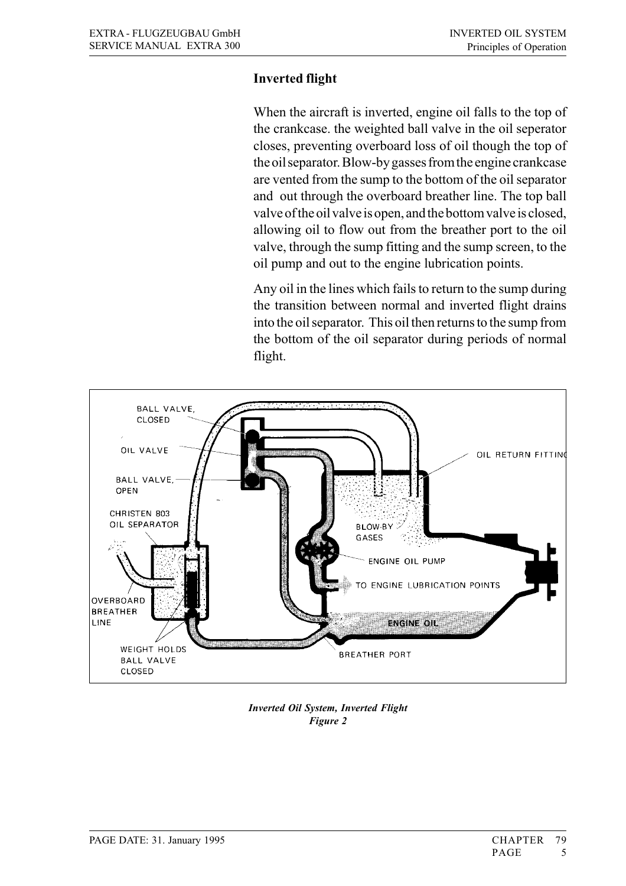#### Inverted flight

When the aircraft is inverted, engine oil falls to the top of the crankcase. the weighted ball valve in the oil seperator closes, preventing overboard loss of oil though the top of the oil separator. Blow-by gasses from the engine crankcase are vented from the sump to the bottom of the oil separator and out through the overboard breather line. The top ball valve of the oil valve is open, and the bottom valve is closed, allowing oil to flow out from the breather port to the oil valve, through the sump fitting and the sump screen, to the oil pump and out to the engine lubrication points.

Any oil in the lines which fails to return to the sump during the transition between normal and inverted flight drains into the oil separator. This oil then returns to the sump from the bottom of the oil separator during periods of normal flight.



Inverted Oil System, Inverted Flight Figure 2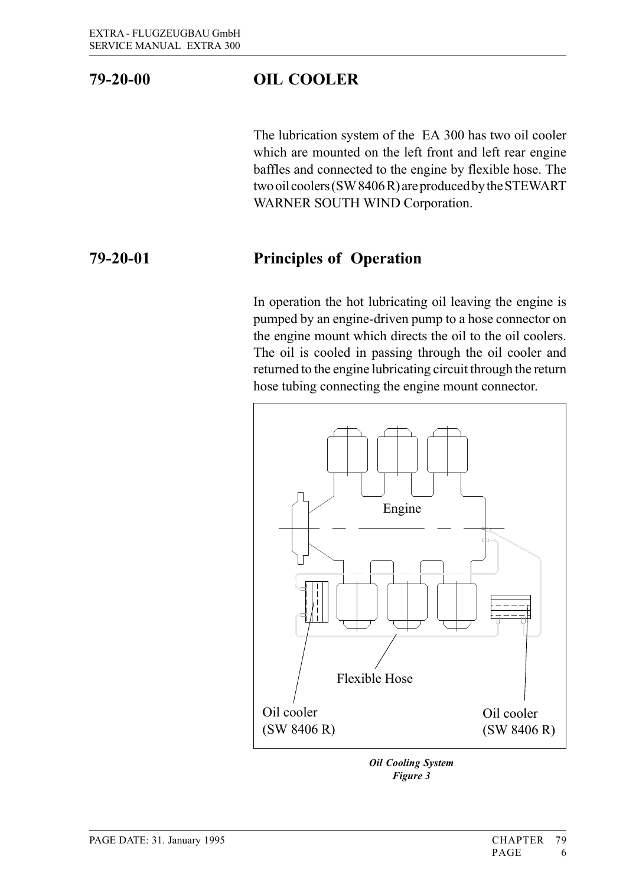# 79-20-00 OIL COOLER

The lubrication system of the EA 300 has two oil cooler which are mounted on the left front and left rear engine baffles and connected to the engine by flexible hose. The two oil coolers (SW 8406 R) are produced by the STEWART WARNER SOUTH WIND Corporation.

### 79-20-01 Principles of Operation

In operation the hot lubricating oil leaving the engine is pumped by an engine-driven pump to a hose connector on the engine mount which directs the oil to the oil coolers. The oil is cooled in passing through the oil cooler and returned to the engine lubricating circuit through the return hose tubing connecting the engine mount connector.



Oil Cooling System Figure 3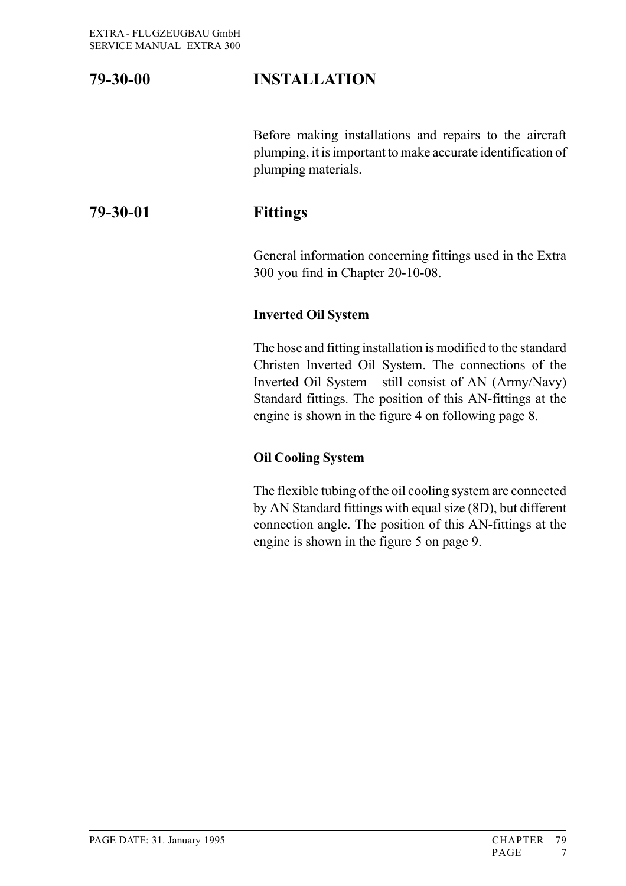## 79-30-00 INSTALLATION

Before making installations and repairs to the aircraft plumping, it is important to make accurate identification of plumping materials.

### 79-30-01 Fittings

General information concerning fittings used in the Extra 300 you find in Chapter 20-10-08.

#### Inverted Oil System

The hose and fitting installation is modified to the standard Christen Inverted Oil System. The connections of the Inverted Oil System still consist of AN (Army/Navy) Standard fittings. The position of this AN-fittings at the engine is shown in the figure 4 on following page 8.

#### Oil Cooling System

The flexible tubing of the oil cooling system are connected by AN Standard fittings with equal size (8D), but different connection angle. The position of this AN-fittings at the engine is shown in the figure 5 on page 9.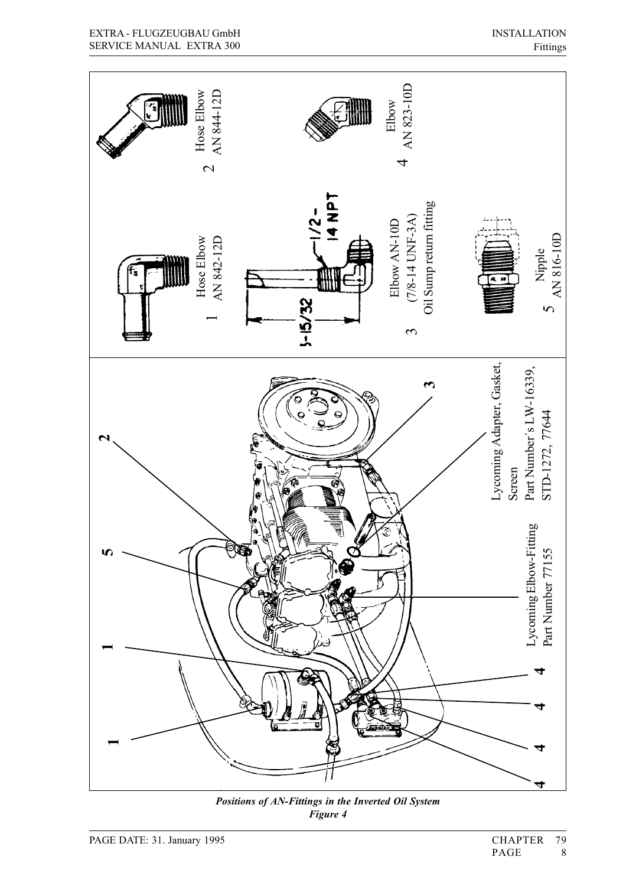

Positions of AN-Fittings in the Inverted Oil System Figure 4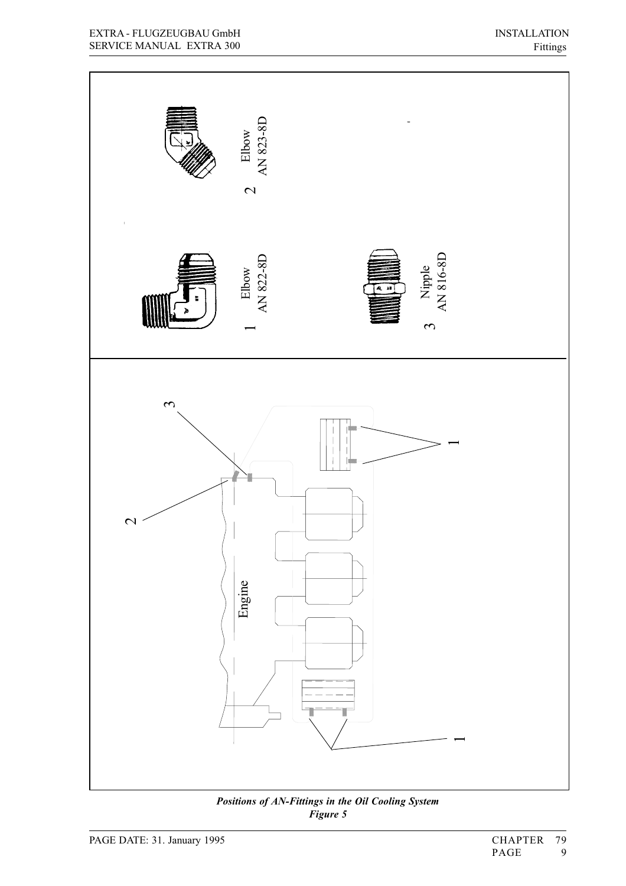

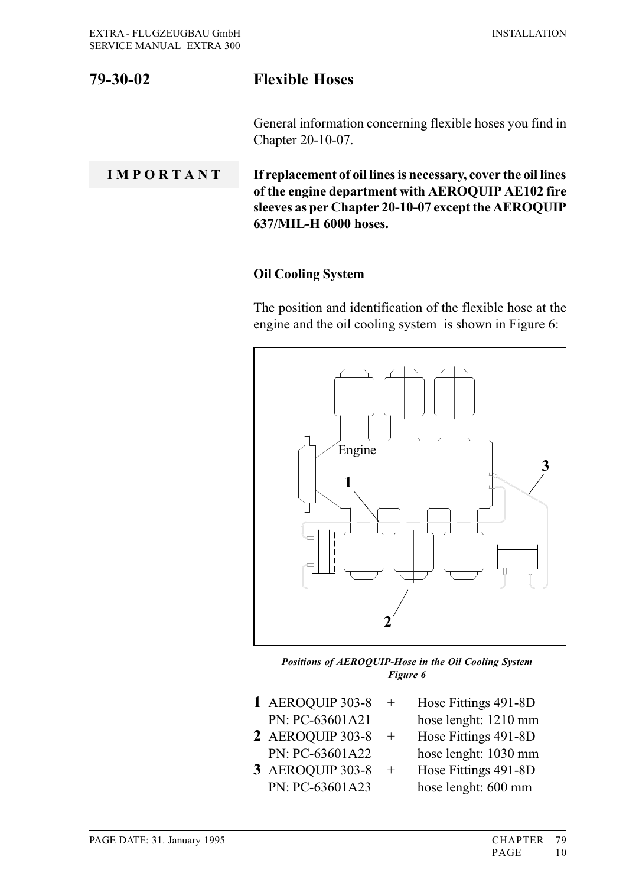# 79-30-02 Flexible Hoses

General information concerning flexible hoses you find in Chapter 20-10-07.

I M P O R T A N T If replacement of oil lines is necessary, cover the oil lines of the engine department with AEROQUIP AE102 fire sleeves as per Chapter 20-10-07 except the AEROQUIP 637/MIL-H 6000 hoses.

#### Oil Cooling System

The position and identification of the flexible hose at the engine and the oil cooling system is shown in Figure 6:



Positions of AEROQUIP-Hose in the Oil Cooling System Figure 6

- 1 AEROQUIP 303-8 + Hose Fittings 491-8D PN: PC-63601A21 hose lenght: 1210 mm
- 2 AEROQUIP 303-8 + Hose Fittings 491-8D PN: PC-63601A22 hose lenght: 1030 mm
- 3 AEROQUIP 303-8 + Hose Fittings 491-8D
- 
- 
- 
- - PN: PC-63601A23 hose lenght: 600 mm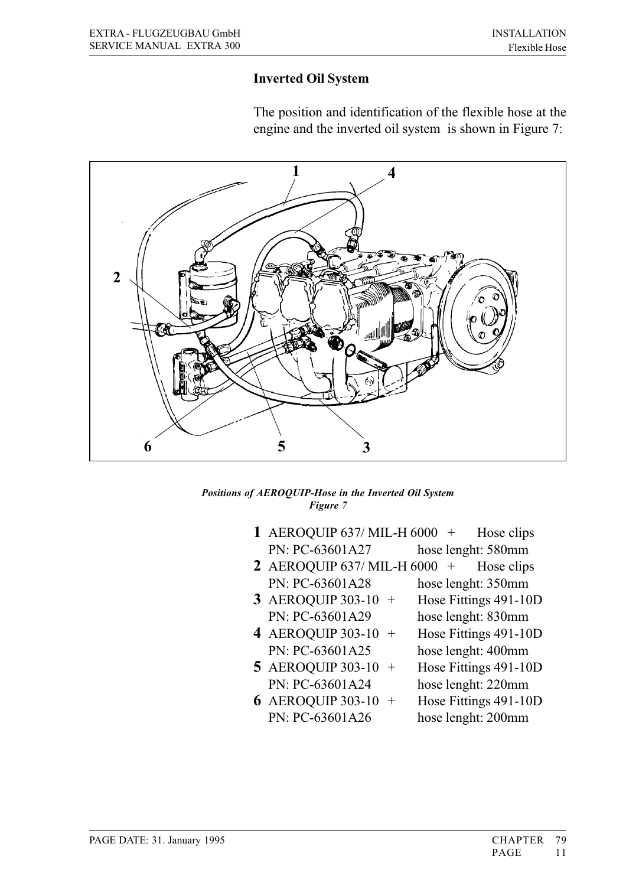#### Inverted Oil System

The position and identification of the flexible hose at the engine and the inverted oil system is shown in Figure 7:



#### Positions of AEROQUIP-Hose in the Inverted Oil System Figure 7

- 1 AEROQUIP 637/ MIL-H 6000  $+$  Hose clips PN: PC-63601A27 hose lenght: 580mm
- 2 AEROQUIP 637/ MIL-H 6000 + Hose clips PN: PC-63601A28 hose lenght: 350mm
- 3 AEROQUIP 303-10 + Hose Fittings 491-10D PN: PC-63601A29 hose lenght: 830mm
- 4 AEROQUIP 303-10 + Hose Fittings 491-10D PN: PC-63601A25 hose lenght: 400mm
- **5** AEROQUIP 303-10  $+$  Hose Fittings 491-10D PN: PC-63601A24 hose lenght: 220mm
- **6** AEROQUIP 303-10  $+$  Hose Fittings 491-10D PN: PC-63601A26 hose lenght: 200mm
- 
-